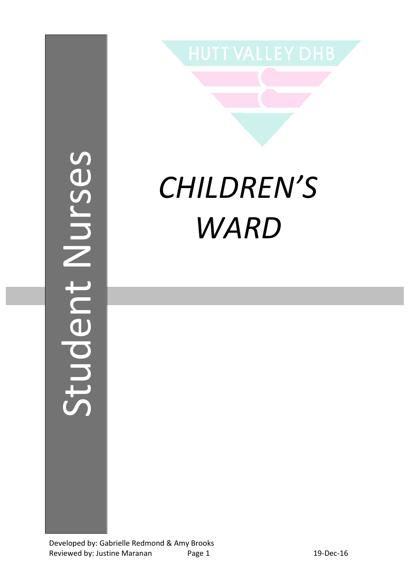# Student Nursesstudent Nurses



# *CHILDREN'S WARD*

Developed by: Gabrielle Redmond & Amy Brooks Reviewed by: Justine Maranan Page 1 19-Dec-16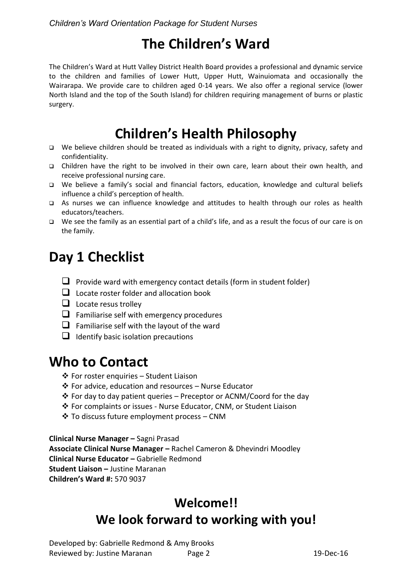# **The Children's Ward**

The Children's Ward at Hutt Valley District Health Board provides a professional and dynamic service to the children and families of Lower Hutt, Upper Hutt, Wainuiomata and occasionally the Wairarapa. We provide care to children aged 0-14 years. We also offer a regional service (lower North Island and the top of the South Island) for children requiring management of burns or plastic surgery.

### **Children's Health Philosophy**

- We believe children should be treated as individuals with a right to dignity, privacy, safety and confidentiality.
- Children have the right to be involved in their own care, learn about their own health, and receive professional nursing care.
- We believe a family's social and financial factors, education, knowledge and cultural beliefs influence a child's perception of health.
- As nurses we can influence knowledge and attitudes to health through our roles as health educators/teachers.
- We see the family as an essential part of a child's life, and as a result the focus of our care is on the family.

#### **Day 1 Checklist**

- $\Box$  Provide ward with emergency contact details (form in student folder)
- □ Locate roster folder and allocation book
- $\Box$  Locate resus trolley
- $\Box$  Familiarise self with emergency procedures
- $\Box$  Familiarise self with the layout of the ward
- $\Box$  Identify basic isolation precautions

#### **Who to Contact**

- For roster enquiries Student Liaison
- For advice, education and resources Nurse Educator
- $\cdot$  For day to day patient queries Preceptor or ACNM/Coord for the day
- For complaints or issues Nurse Educator, CNM, or Student Liaison
- To discuss future employment process CNM

**Clinical Nurse Manager –** Sagni Prasad **Associate Clinical Nurse Manager –** Rachel Cameron & Dhevindri Moodley **Clinical Nurse Educator –** Gabrielle Redmond **Student Liaison –** Justine Maranan **Children's Ward #:** 570 9037

#### **Welcome!! We look forward to working with you!**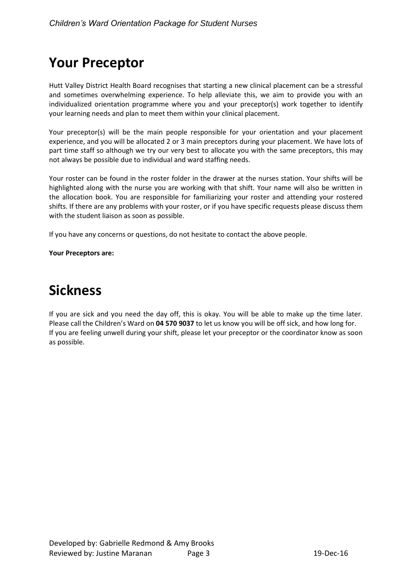#### **Your Preceptor**

Hutt Valley District Health Board recognises that starting a new clinical placement can be a stressful and sometimes overwhelming experience. To help alleviate this, we aim to provide you with an individualized orientation programme where you and your preceptor(s) work together to identify your learning needs and plan to meet them within your clinical placement.

Your preceptor(s) will be the main people responsible for your orientation and your placement experience, and you will be allocated 2 or 3 main preceptors during your placement. We have lots of part time staff so although we try our very best to allocate you with the same preceptors, this may not always be possible due to individual and ward staffing needs.

Your roster can be found in the roster folder in the drawer at the nurses station. Your shifts will be highlighted along with the nurse you are working with that shift. Your name will also be written in the allocation book. You are responsible for familiarizing your roster and attending your rostered shifts. If there are any problems with your roster, or if you have specific requests please discuss them with the student liaison as soon as possible.

If you have any concerns or questions, do not hesitate to contact the above people.

**Your Preceptors are:**

#### **Sickness**

If you are sick and you need the day off, this is okay. You will be able to make up the time later. Please call the Children's Ward on **04 570 9037** to let us know you will be off sick, and how long for. If you are feeling unwell during your shift, please let your preceptor or the coordinator know as soon as possible.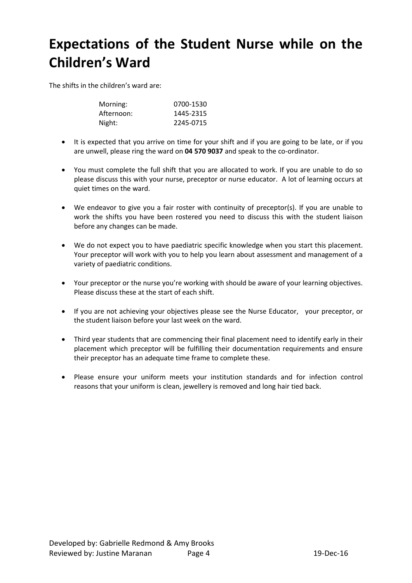# **Expectations of the Student Nurse while on the Children's Ward**

The shifts in the children's ward are:

| Morning:   | 0700-1530 |
|------------|-----------|
| Afternoon: | 1445-2315 |
| Night:     | 2245-0715 |

- It is expected that you arrive on time for your shift and if you are going to be late, or if you are unwell, please ring the ward on **04 570 9037** and speak to the co-ordinator.
- You must complete the full shift that you are allocated to work. If you are unable to do so please discuss this with your nurse, preceptor or nurse educator. A lot of learning occurs at quiet times on the ward.
- We endeavor to give you a fair roster with continuity of preceptor(s). If you are unable to work the shifts you have been rostered you need to discuss this with the student liaison before any changes can be made.
- We do not expect you to have paediatric specific knowledge when you start this placement. Your preceptor will work with you to help you learn about assessment and management of a variety of paediatric conditions.
- Your preceptor or the nurse you're working with should be aware of your learning objectives. Please discuss these at the start of each shift.
- If you are not achieving your objectives please see the Nurse Educator, your preceptor, or the student liaison before your last week on the ward.
- Third year students that are commencing their final placement need to identify early in their placement which preceptor will be fulfilling their documentation requirements and ensure their preceptor has an adequate time frame to complete these.
- Please ensure your uniform meets your institution standards and for infection control reasons that your uniform is clean, jewellery is removed and long hair tied back.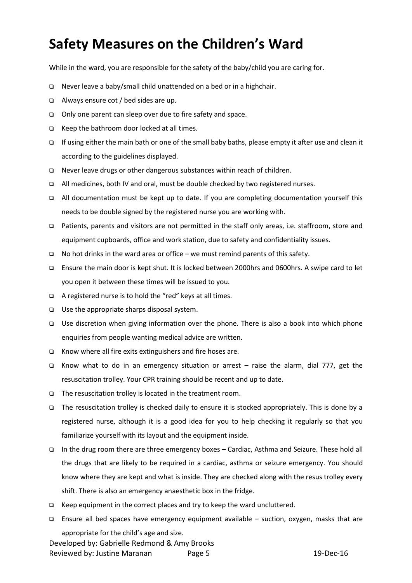#### **Safety Measures on the Children's Ward**

While in the ward, you are responsible for the safety of the baby/child you are caring for.

- $\Box$  Never leave a baby/small child unattended on a bed or in a highchair.
- $\Box$  Always ensure cot / bed sides are up.
- □ Only one parent can sleep over due to fire safety and space.
- $\Box$  Keep the bathroom door locked at all times.
- If using either the main bath or one of the small baby baths, please empty it after use and clean it according to the guidelines displayed.
- Never leave drugs or other dangerous substances within reach of children.
- All medicines, both IV and oral, must be double checked by two registered nurses.
- $\Box$  All documentation must be kept up to date. If you are completing documentation yourself this needs to be double signed by the registered nurse you are working with.
- Patients, parents and visitors are not permitted in the staff only areas, i.e. staffroom, store and equipment cupboards, office and work station, due to safety and confidentiality issues.
- No hot drinks in the ward area or office we must remind parents of this safety.
- Ensure the main door is kept shut. It is locked between 2000hrs and 0600hrs. A swipe card to let you open it between these times will be issued to you.
- $\Box$  A registered nurse is to hold the "red" keys at all times.
- $\Box$  Use the appropriate sharps disposal system.
- $\Box$  Use discretion when giving information over the phone. There is also a book into which phone enquiries from people wanting medical advice are written.
- $\Box$  Know where all fire exits extinguishers and fire hoses are.
- Know what to do in an emergency situation or arrest raise the alarm, dial 777, get the resuscitation trolley. Your CPR training should be recent and up to date.
- □ The resuscitation trolley is located in the treatment room.
- $\Box$  The resuscitation trolley is checked daily to ensure it is stocked appropriately. This is done by a registered nurse, although it is a good idea for you to help checking it regularly so that you familiarize yourself with its layout and the equipment inside.
- In the drug room there are three emergency boxes Cardiac, Asthma and Seizure. These hold all the drugs that are likely to be required in a cardiac, asthma or seizure emergency. You should know where they are kept and what is inside. They are checked along with the resus trolley every shift. There is also an emergency anaesthetic box in the fridge.
- Keep equipment in the correct places and try to keep the ward uncluttered.
- Ensure all bed spaces have emergency equipment available suction, oxygen, masks that are appropriate for the child's age and size.

Developed by: Gabrielle Redmond & Amy Brooks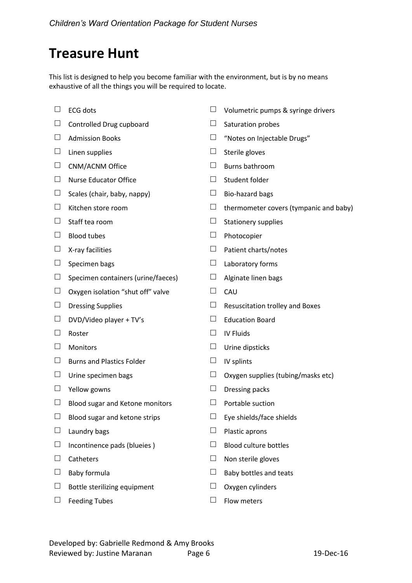#### **Treasure Hunt**

This list is designed to help you become familiar with the environment, but is by no means exhaustive of all the things you will be required to locate.

- 
- $\Box$  Controlled Drug cupboard  $\Box$  Saturation probes
- 
- $\Box$  Linen supplies  $\Box$  Sterile gloves
- $\square$  CNM/ACNM Office  $\square$  Burns bathroom
- $\Box$  Nurse Educator Office  $\Box$  Student folder
- $\Box$  Scales (chair, baby, nappy)  $\Box$  Bio-hazard bags
- 
- 
- $\Box$  Blood tubes  $\Box$  Photocopier
- 
- 
- $\Box$  Specimen containers (urine/faeces)  $\Box$  Alginate linen bags
- $\Box$  Oxygen isolation "shut off" valve  $\Box$  CAU
- 
- $\Box$  DVD/Video player + TV's  $\Box$  Education Board
- 
- 
- $\Box$  Burns and Plastics Folder  $\Box$  IV splints
- 
- 
- $\Box$  Blood sugar and Ketone monitors  $\Box$  Portable suction
- $\Box$  Blood sugar and ketone strips  $\Box$  Eye shields/face shields
- 
- $\Box$  Incontinence pads (blueies )  $\Box$  Blood culture bottles
- 
- 
- $\Box$  Bottle sterilizing equipment  $\Box$  Oxygen cylinders
- 
- $\Box$  ECG dots  $\Box$  Volumetric pumps & syringe drivers
	-
- $\Box$  Admission Books  $\Box$  "Notes on Injectable Drugs"
	-
	-
	-
	-
- $\Box$  Kitchen store room  $\Box$  thermometer covers (tympanic and baby)
- $\Box$  Staff tea room  $\Box$  Stationery supplies
	-
- $\Box$  X-ray facilities  $\Box$  Patient charts/notes
- $\Box$  Specimen bags  $\Box$  Laboratory forms
	-
	-
- $\Box$  Dressing Supplies  $\Box$  Resuscitation trolley and Boxes
	-
- $\Box$  Roster  $\Box$  IV Fluids
- $\Box$  Monitors  $\Box$  Urine dipsticks
	-
- $\Box$  Urine specimen bags  $\Box$  Oxygen supplies (tubing/masks etc)
- $\Box$  Yellow gowns  $\Box$  Dressing packs
	-
	-
- $\Box$  Laundry bags  $\Box$  Plastic aprons
	-
- $\Box$  Catheters  $\Box$  Non sterile gloves
- $\Box$  Baby formula  $\Box$  Baby bottles and teats
	-
	-

 $\Box$  Feeding Tubes  $\Box$  Flow meters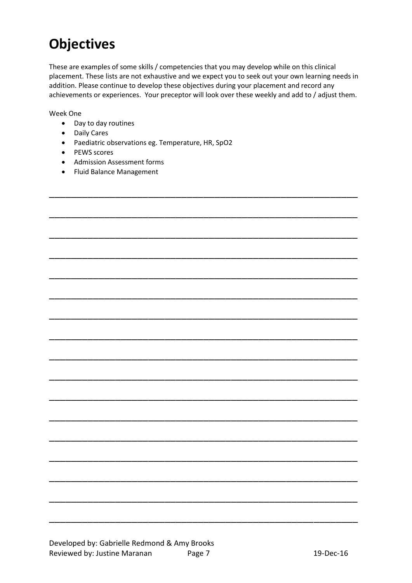### **Objectives**

These are examples of some skills / competencies that you may develop while on this clinical placement. These lists are not exhaustive and we expect you to seek out your own learning needs in addition. Please continue to develop these objectives during your placement and record any achievements or experiences. Your preceptor will look over these weekly and add to / adjust them.

\_\_\_\_\_\_\_\_\_\_\_\_\_\_\_\_\_\_\_\_\_\_\_\_\_\_\_\_\_\_\_\_\_\_\_\_\_\_\_\_\_\_\_\_\_\_\_\_\_\_\_\_\_\_\_\_

\_\_\_\_\_\_\_\_\_\_\_\_\_\_\_\_\_\_\_\_\_\_\_\_\_\_\_\_\_\_\_\_\_\_\_\_\_\_\_\_\_\_\_\_\_\_\_\_\_\_\_\_\_\_\_\_

\_\_\_\_\_\_\_\_\_\_\_\_\_\_\_\_\_\_\_\_\_\_\_\_\_\_\_\_\_\_\_\_\_\_\_\_\_\_\_\_\_\_\_\_\_\_\_\_\_\_\_\_\_\_\_\_

\_\_\_\_\_\_\_\_\_\_\_\_\_\_\_\_\_\_\_\_\_\_\_\_\_\_\_\_\_\_\_\_\_\_\_\_\_\_\_\_\_\_\_\_\_\_\_\_\_\_\_\_\_\_\_\_

\_\_\_\_\_\_\_\_\_\_\_\_\_\_\_\_\_\_\_\_\_\_\_\_\_\_\_\_\_\_\_\_\_\_\_\_\_\_\_\_\_\_\_\_\_\_\_\_\_\_\_\_\_\_\_\_

\_\_\_\_\_\_\_\_\_\_\_\_\_\_\_\_\_\_\_\_\_\_\_\_\_\_\_\_\_\_\_\_\_\_\_\_\_\_\_\_\_\_\_\_\_\_\_\_\_\_\_\_\_\_\_\_

\_\_\_\_\_\_\_\_\_\_\_\_\_\_\_\_\_\_\_\_\_\_\_\_\_\_\_\_\_\_\_\_\_\_\_\_\_\_\_\_\_\_\_\_\_\_\_\_\_\_\_\_\_\_\_\_

\_\_\_\_\_\_\_\_\_\_\_\_\_\_\_\_\_\_\_\_\_\_\_\_\_\_\_\_\_\_\_\_\_\_\_\_\_\_\_\_\_\_\_\_\_\_\_\_\_\_\_\_\_\_\_\_

\_\_\_\_\_\_\_\_\_\_\_\_\_\_\_\_\_\_\_\_\_\_\_\_\_\_\_\_\_\_\_\_\_\_\_\_\_\_\_\_\_\_\_\_\_\_\_\_\_\_\_\_\_\_\_\_

\_\_\_\_\_\_\_\_\_\_\_\_\_\_\_\_\_\_\_\_\_\_\_\_\_\_\_\_\_\_\_\_\_\_\_\_\_\_\_\_\_\_\_\_\_\_\_\_\_\_\_\_\_\_\_\_

\_\_\_\_\_\_\_\_\_\_\_\_\_\_\_\_\_\_\_\_\_\_\_\_\_\_\_\_\_\_\_\_\_\_\_\_\_\_\_\_\_\_\_\_\_\_\_\_\_\_\_\_\_\_\_\_

\_\_\_\_\_\_\_\_\_\_\_\_\_\_\_\_\_\_\_\_\_\_\_\_\_\_\_\_\_\_\_\_\_\_\_\_\_\_\_\_\_\_\_\_\_\_\_\_\_\_\_\_\_\_\_\_

\_\_\_\_\_\_\_\_\_\_\_\_\_\_\_\_\_\_\_\_\_\_\_\_\_\_\_\_\_\_\_\_\_\_\_\_\_\_\_\_\_\_\_\_\_\_\_\_\_\_\_\_\_\_\_\_

\_\_\_\_\_\_\_\_\_\_\_\_\_\_\_\_\_\_\_\_\_\_\_\_\_\_\_\_\_\_\_\_\_\_\_\_\_\_\_\_\_\_\_\_\_\_\_\_\_\_\_\_\_\_\_\_

\_\_\_\_\_\_\_\_\_\_\_\_\_\_\_\_\_\_\_\_\_\_\_\_\_\_\_\_\_\_\_\_\_\_\_\_\_\_\_\_\_\_\_\_\_\_\_\_\_\_\_\_\_\_\_\_

\_\_\_\_\_\_\_\_\_\_\_\_\_\_\_\_\_\_\_\_\_\_\_\_\_\_\_\_\_\_\_\_\_\_\_\_\_\_\_\_\_\_\_\_\_\_\_\_\_\_\_\_\_\_\_\_

\_\_\_\_\_\_\_\_\_\_\_\_\_\_\_\_\_\_\_\_\_\_\_\_\_\_\_\_\_\_\_\_\_\_\_\_\_\_\_\_\_\_\_\_\_\_\_\_\_\_\_\_\_\_\_\_

Week One

- Day to day routines
- Daily Cares
- Paediatric observations eg. Temperature, HR, SpO2
- PEWS scores
- Admission Assessment forms
- Fluid Balance Management

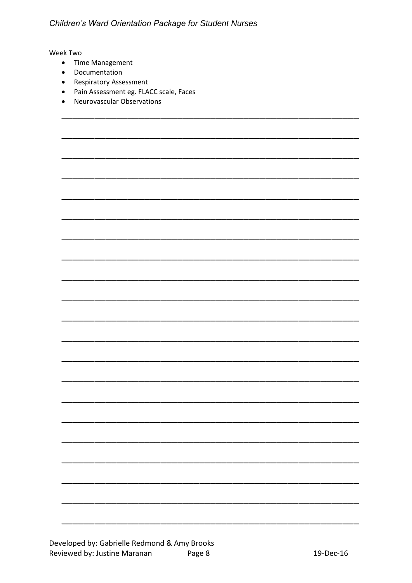Week Two

- Time Management
- Documentation
- Respiratory Assessment
- Pain Assessment eg. FLACC scale, Faces
- Neurovascular Observations

Developed by: Gabrielle Redmond & Amy Brooks Reviewed by: Justine Maranan Page 8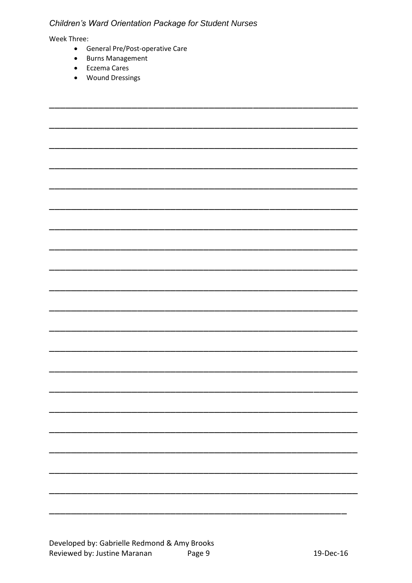#### Children's Ward Orientation Package for Student Nurses

Week Three:

- General Pre/Post-operative Care
- Burns Management
- Eczema Cares
- Wound Dressings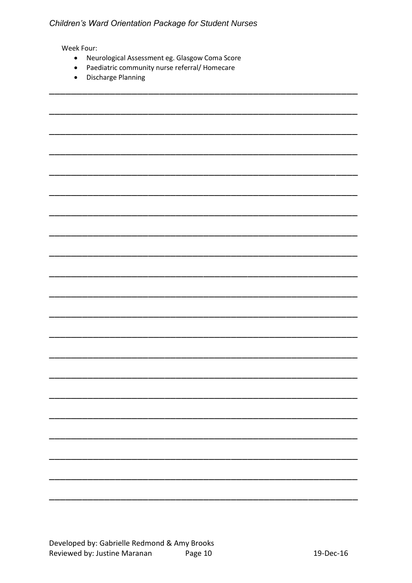Week Four:

- Neurological Assessment eg. Glasgow Coma Score
- Paediatric community nurse referral/ Homecare
- Discharge Planning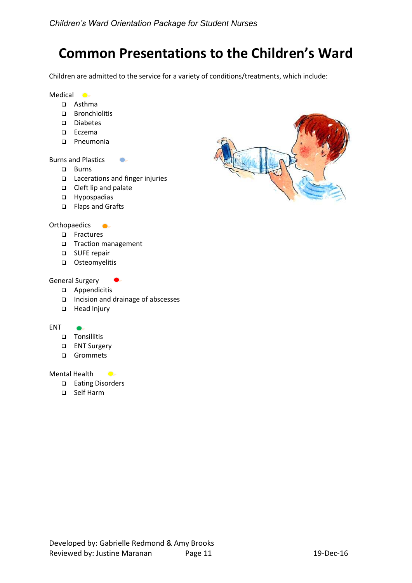#### **Common Presentations to the Children's Ward**

Children are admitted to the service for a variety of conditions/treatments, which include:

Medical **O** 

- Asthma
- □ Bronchiolitis
- Diabetes
- □ Eczema
- Pneumonia

Burns and Plastics

- **D** Burns
- Lacerations and finger injuries

 $\bullet$ 

- □ Cleft lip and palate
- □ Hypospadias
- □ Flaps and Grafts

#### **Orthopaedics**

- □ Fractures
- Traction management

 $\bullet$ 

- □ SUFE repair
- □ Osteomyelitis

General Surgery

- □ Appendicitis
- □ Incision and drainage of abscesses
- □ Head Injury

#### ENT

- $\bullet$ □ Tonsillitis
- **ENT** Surgery
- □ Grommets

Mental Health

□ Eating Disorders

 $\bullet$ 

□ Self Harm

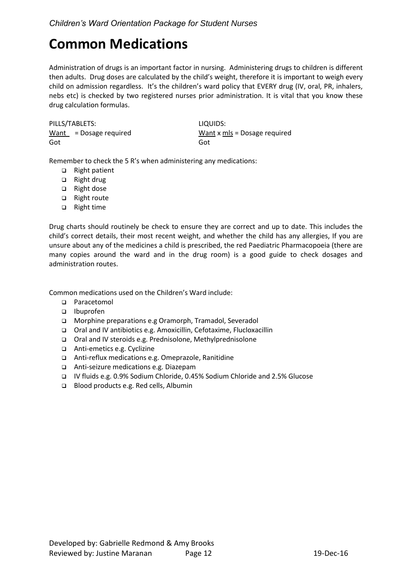#### **Common Medications**

Administration of drugs is an important factor in nursing. Administering drugs to children is different then adults. Drug doses are calculated by the child's weight, therefore it is important to weigh every child on admission regardless. It's the children's ward policy that EVERY drug (IV, oral, PR, inhalers, nebs etc) is checked by two registered nurses prior administration. It is vital that you know these drug calculation formulas.

PILLS/TABLETS: LIQUIDS: Got Got

 $Want$  = Dosage required Want x mls = Dosage required

Remember to check the 5 R's when administering any medications:

- □ Right patient
- □ Right drug
- □ Right dose
- □ Right route
- □ Right time

Drug charts should routinely be check to ensure they are correct and up to date. This includes the child's correct details, their most recent weight, and whether the child has any allergies, If you are unsure about any of the medicines a child is prescribed, the red Paediatric Pharmacopoeia (there are many copies around the ward and in the drug room) is a good guide to check dosages and administration routes.

Common medications used on the Children's Ward include:

- D Paracetomol
- □ Ibuprofen
- Morphine preparations e.g Oramorph, Tramadol, Severadol
- Oral and IV antibiotics e.g. Amoxicillin, Cefotaxime, Flucloxacillin
- Oral and IV steroids e.g. Prednisolone, Methylprednisolone
- Anti-emetics e.g. Cyclizine
- Anti-reflux medications e.g. Omeprazole, Ranitidine
- Anti-seizure medications e.g. Diazepam
- IV fluids e.g. 0.9% Sodium Chloride, 0.45% Sodium Chloride and 2.5% Glucose
- □ Blood products e.g. Red cells, Albumin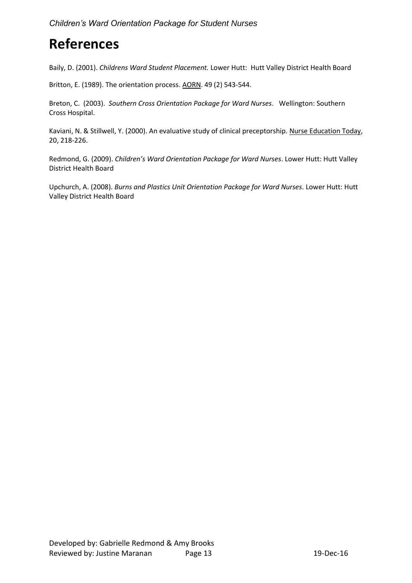### **References**

Baily, D. (2001). *Childrens Ward Student Placement.* Lower Hutt: Hutt Valley District Health Board

Britton, E. (1989). The orientation process. AORN. 49 (2) 543-544.

Breton, C. (2003). *Southern Cross Orientation Package for Ward Nurses*. Wellington: Southern Cross Hospital.

Kaviani, N. & Stillwell, Y. (2000). An evaluative study of clinical preceptorship. Nurse Education Today, 20, 218-226.

Redmond, G. (2009). *Children's Ward Orientation Package for Ward Nurses*. Lower Hutt: Hutt Valley District Health Board

Upchurch, A. (2008). *Burns and Plastics Unit Orientation Package for Ward Nurses*. Lower Hutt: Hutt Valley District Health Board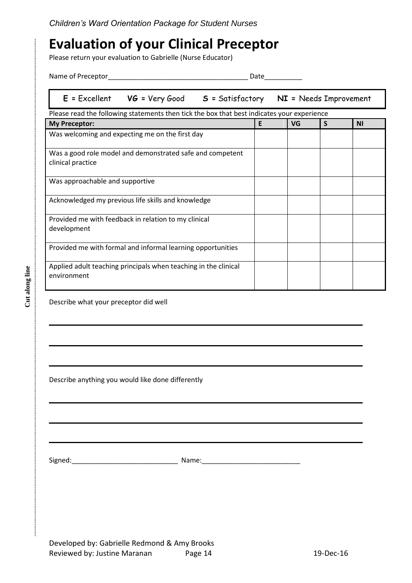#### **Evaluation of your Clinical Preceptor**

Please return your evaluation to Gabrielle (Nurse Educator)

|  | Name of Preceptor |  |  |  |
|--|-------------------|--|--|--|
|--|-------------------|--|--|--|

Name of Preceptor\_\_\_\_\_\_\_\_\_\_\_\_\_\_\_\_\_\_\_\_\_\_\_\_\_\_\_\_\_\_\_\_\_\_\_\_\_ Date\_\_\_\_\_\_\_\_\_\_

**E =** Excellent **VG =** Very Good **S =** Satisfactory **NI =** Needs Improvement

| Please read the following statements then tick the box that best indicates your experience |   |    |   |           |  |  |  |
|--------------------------------------------------------------------------------------------|---|----|---|-----------|--|--|--|
| <b>My Preceptor:</b>                                                                       | E | VG | S | <b>NI</b> |  |  |  |
| Was welcoming and expecting me on the first day                                            |   |    |   |           |  |  |  |
| Was a good role model and demonstrated safe and competent<br>clinical practice             |   |    |   |           |  |  |  |
| Was approachable and supportive                                                            |   |    |   |           |  |  |  |
| Acknowledged my previous life skills and knowledge                                         |   |    |   |           |  |  |  |
| Provided me with feedback in relation to my clinical<br>development                        |   |    |   |           |  |  |  |
| Provided me with formal and informal learning opportunities                                |   |    |   |           |  |  |  |
| Applied adult teaching principals when teaching in the clinical<br>environment             |   |    |   |           |  |  |  |

Describe what your preceptor did well

Describe anything you would like done differently

Signed:\_\_\_\_\_\_\_\_\_\_\_\_\_\_\_\_\_\_\_\_\_\_\_\_\_\_\_\_ Name:\_\_\_\_\_\_\_\_\_\_\_\_\_\_\_\_\_\_\_\_\_\_\_\_\_\_